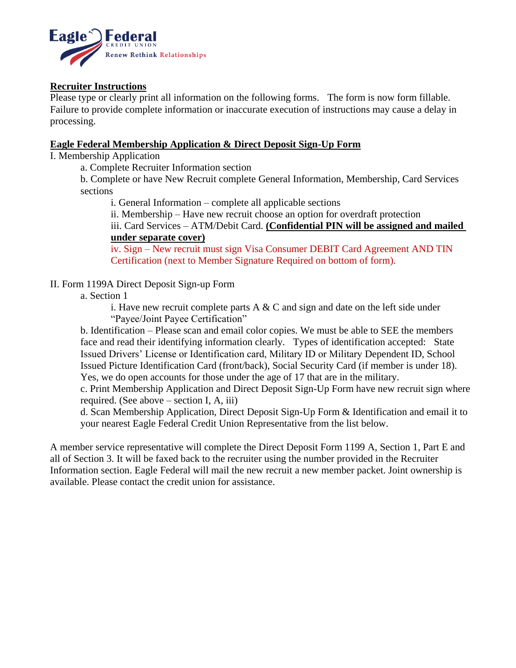

# **Recruiter Instructions**

Please type or clearly print all information on the following forms. The form is now form fillable. Failure to provide complete information or inaccurate execution of instructions may cause a delay in processing.

## **Eagle Federal Membership Application & Direct Deposit Sign-Up Form**

I. Membership Application

a. Complete Recruiter Information section

b. Complete or have New Recruit complete General Information, Membership, Card Services sections

i. General Information – complete all applicable sections

ii. Membership – Have new recruit choose an option for overdraft protection

iii. Card Services – ATM/Debit Card. **(Confidential PIN will be assigned and mailed under separate cover)**

iv. Sign – New recruit must sign Visa Consumer DEBIT Card Agreement AND TIN Certification (next to Member Signature Required on bottom of form).

# II. Form 1199A Direct Deposit Sign-up Form

### a. Section 1

i. Have new recruit complete parts  $A \& C$  and sign and date on the left side under "Payee/Joint Payee Certification"

b. Identification – Please scan and email color copies. We must be able to SEE the members face and read their identifying information clearly. Types of identification accepted: State Issued Drivers' License or Identification card, Military ID or Military Dependent ID, School Issued Picture Identification Card (front/back), Social Security Card (if member is under 18). Yes, we do open accounts for those under the age of 17 that are in the military.

c. Print Membership Application and Direct Deposit Sign-Up Form have new recruit sign where required. (See above – section I, A, iii)

d. Scan Membership Application, Direct Deposit Sign-Up Form & Identification and email it to your nearest Eagle Federal Credit Union Representative from the list below.

A member service representative will complete the Direct Deposit Form 1199 A, Section 1, Part E and all of Section 3. It will be faxed back to the recruiter using the number provided in the Recruiter Information section. Eagle Federal will mail the new recruit a new member packet. Joint ownership is available. Please contact the credit union for assistance.